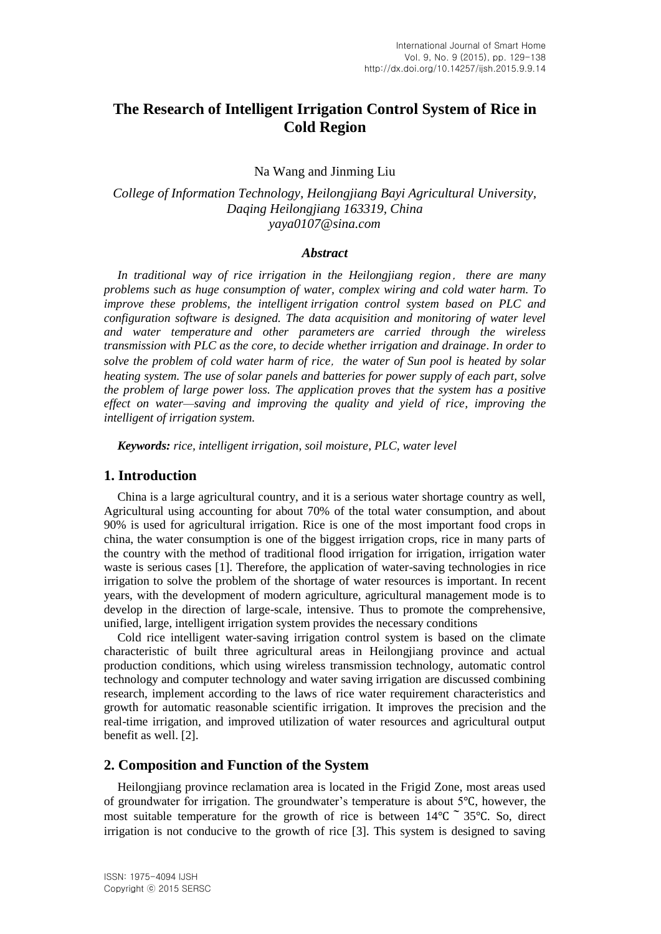# **The Research of Intelligent Irrigation Control System of Rice in Cold Region**

Na Wang and Jinming Liu

*College of Information Technology, Heilongjiang Bayi Agricultural University, Daqing Heilongjiang 163319, China yaya0107@sina.com*

#### *Abstract*

*In traditional way of rice irrigation in the Heilongjiang region*,*there are many problems such as huge consumption of water, complex wiring and cold water harm. To improve these problems, the intelligent irrigation control system based on PLC and configuration software is designed. The data acquisition and monitoring of water level and water temperature and other parameters are carried through the wireless transmission with PLC as the core, to decide whether irrigation and drainage. In order to solve the problem of cold water harm of rice*,*the water of Sun pool is heated by solar heating system. The use of solar panels and batteries for power supply of each part, solve the problem of large power loss. The application proves that the system has a positive effect on water—saving and improving the quality and yield of rice, improving the intelligent of irrigation system.*

*Keywords: rice, intelligent irrigation, soil moisture, PLC, water level*

#### **1. Introduction**

China is a large agricultural country, and it is a serious water shortage country as well, Agricultural using accounting for about 70% of the total water consumption, and about 90% is used for agricultural irrigation. Rice is one of the most important food crops in china, the water consumption is one of the biggest irrigation crops, rice in many parts of the country with the method of traditional flood irrigation for irrigation, irrigation water waste is serious cases [1]. Therefore, the application of water-saving technologies in rice irrigation to solve the problem of the shortage of water resources is important. In recent years, with the development of modern agriculture, agricultural management mode is to develop in the direction of large-scale, intensive. Thus to promote the comprehensive, unified, large, intelligent irrigation system provides the necessary conditions

Cold rice intelligent water-saving irrigation control system is based on the climate characteristic of built three agricultural areas in Heilongjiang province and actual production conditions, which using wireless transmission technology, automatic control technology and computer technology and water saving irrigation are discussed combining research, implement according to the laws of rice water requirement characteristics and growth for automatic reasonable scientific irrigation. It improves the precision and the real-time irrigation, and improved utilization of water resources and agricultural output benefit as well. [2].

#### **2. Composition and Function of the System**

Heilongjiang province reclamation area is located in the Frigid Zone, most areas used of groundwater for irrigation. The groundwater's temperature is about 5℃, however, the most suitable temperature for the growth of rice is between  $14\degree$ C  $\degree$  35°C. So, direct irrigation is not conducive to the growth of rice [3]. This system is designed to saving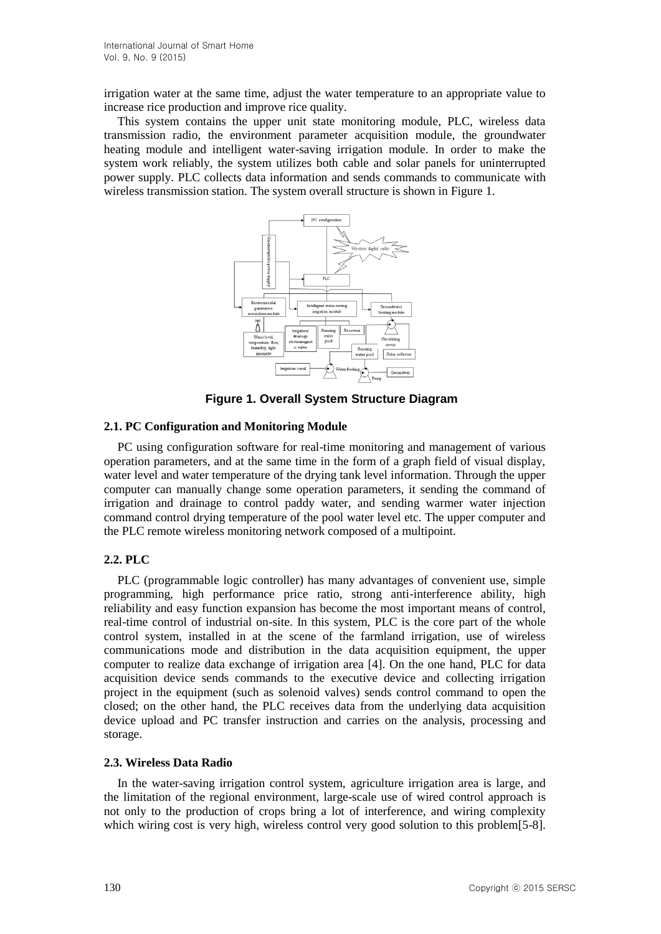irrigation water at the same time, adjust the water temperature to an appropriate value to increase rice production and improve rice quality.

This system contains the upper unit state monitoring module, PLC, wireless data transmission radio, the environment parameter acquisition module, the groundwater heating module and intelligent water-saving irrigation module. In order to make the system work reliably, the system utilizes both cable and solar panels for uninterrupted power supply. PLC collects data information and sends commands to communicate with wireless transmission station. The system overall structure is shown in Figure 1.



**Figure 1. Overall System Structure Diagram**

#### **2.1. PC Configuration and Monitoring Module**

PC using configuration software for real-time monitoring and management of various operation parameters, and at the same time in the form of a graph field of visual display, water level and water temperature of the drying tank level information. Through the upper computer can manually change some operation parameters, it sending the command of irrigation and drainage to control paddy water, and sending warmer water injection command control drying temperature of the pool water level etc. The upper computer and the PLC remote wireless monitoring network composed of a multipoint.

## **2.2. PLC**

PLC (programmable logic controller) has many advantages of convenient use, simple programming, high performance price ratio, strong anti-interference ability, high reliability and easy function expansion has become the most important means of control, real-time control of industrial on-site. In this system, PLC is the core part of the whole control system, installed in at the scene of the farmland irrigation, use of wireless communications mode and distribution in the data acquisition equipment, the upper computer to realize data exchange of irrigation area [4]. On the one hand, PLC for data acquisition device sends commands to the executive device and collecting irrigation project in the equipment (such as solenoid valves) sends control command to open the closed; on the other hand, the PLC receives data from the underlying data acquisition device upload and PC transfer instruction and carries on the analysis, processing and storage.

#### **2.3. Wireless Data Radio**

In the water-saving irrigation control system, agriculture irrigation area is large, and the limitation of the regional environment, large-scale use of wired control approach is not only to the production of crops bring a lot of interference, and wiring complexity which wiring cost is very high, wireless control very good solution to this problem[5-8].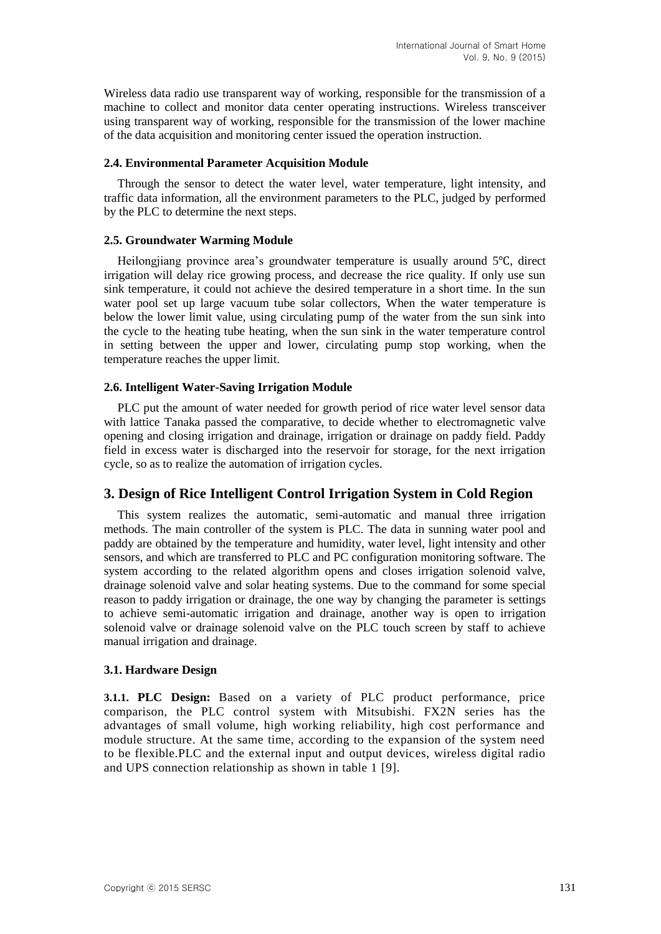Wireless data radio use transparent way of working, responsible for the transmission of a machine to collect and monitor data center operating instructions. Wireless transceiver using transparent way of working, responsible for the transmission of the lower machine of the data acquisition and monitoring center issued the operation instruction.

#### **2.4. Environmental Parameter Acquisition Module**

Through the sensor to detect the water level, water temperature, light intensity, and traffic data information, all the environment parameters to the PLC, judged by performed by the PLC to determine the next steps.

#### **2.5. Groundwater Warming Module**

Heilongjiang province area's groundwater temperature is usually around 5℃, direct irrigation will delay rice growing process, and decrease the rice quality. If only use sun sink temperature, it could not achieve the desired temperature in a short time. In the sun water pool set up large vacuum tube solar collectors, When the water temperature is below the lower limit value, using circulating pump of the water from the sun sink into the cycle to the heating tube heating, when the sun sink in the water temperature control in setting between the upper and lower, circulating pump stop working, when the temperature reaches the upper limit.

#### **2.6. Intelligent Water-Saving Irrigation Module**

PLC put the amount of water needed for growth period of rice water level sensor data with lattice Tanaka passed the comparative, to decide whether to electromagnetic valve opening and closing irrigation and drainage, irrigation or drainage on paddy field. Paddy field in excess water is discharged into the reservoir for storage, for the next irrigation cycle, so as to realize the automation of irrigation cycles.

## **3. Design of Rice Intelligent Control Irrigation System in Cold Region**

This system realizes the automatic, semi-automatic and manual three irrigation methods. The main controller of the system is PLC. The data in sunning water pool and paddy are obtained by the temperature and humidity, water level, light intensity and other sensors, and which are transferred to PLC and PC configuration monitoring software. The system according to the related algorithm opens and closes irrigation solenoid valve, drainage solenoid valve and solar heating systems. Due to the command for some special reason to paddy irrigation or drainage, the one way by changing the parameter is settings to achieve semi-automatic irrigation and drainage, another way is open to irrigation solenoid valve or drainage solenoid valve on the PLC touch screen by staff to achieve manual irrigation and drainage.

#### **3.1. Hardware Design**

**3.1.1. PLC Design:** Based on a variety of PLC product performance, price comparison, the PLC control system with Mitsubishi. FX2N series has the advantages of small volume, high working reliability, high cost performance and module structure. At the same time, according to the expansion of the system need to be flexible.PLC and the external input and output devices, wireless digital radio and UPS connection relationship as shown in table 1 [9].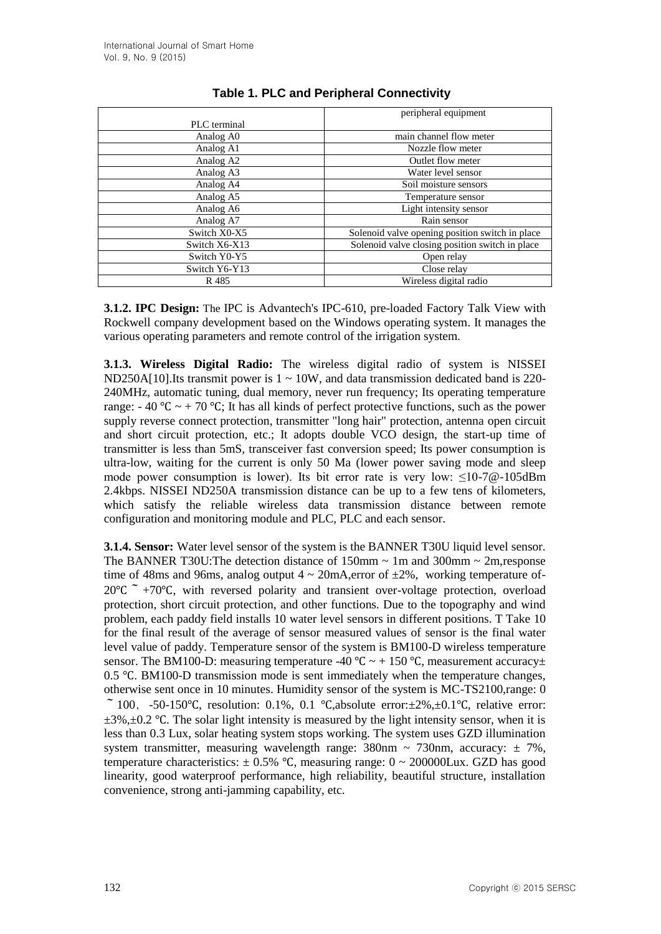|               | peripheral equipment                            |  |  |
|---------------|-------------------------------------------------|--|--|
| PLC terminal  |                                                 |  |  |
| Analog A0     | main channel flow meter                         |  |  |
| Analog A1     | Nozzle flow meter                               |  |  |
| Analog A2     | Outlet flow meter                               |  |  |
| Analog A3     | Water level sensor                              |  |  |
| Analog A4     | Soil moisture sensors                           |  |  |
| Analog A5     | Temperature sensor                              |  |  |
| Analog A6     | Light intensity sensor                          |  |  |
| Analog A7     | Rain sensor                                     |  |  |
| Switch X0-X5  | Solenoid valve opening position switch in place |  |  |
| Switch X6-X13 | Solenoid valve closing position switch in place |  |  |
| Switch Y0-Y5  | Open relay                                      |  |  |
| Switch Y6-Y13 | Close relay                                     |  |  |
| R 485         | Wireless digital radio                          |  |  |

## **Table 1. PLC and Peripheral Connectivity**

**3.1.2. IPC Design:** The IPC is Advantech's IPC-610, pre-loaded Factory Talk View with Rockwell company development based on the Windows operating system. It manages the various operating parameters and remote control of the irrigation system.

**3.1.3. Wireless Digital Radio:** The wireless digital radio of system is NISSEI ND250A[10].Its transmit power is  $1 \sim 10W$ , and data transmission dedicated band is 220-240MHz, automatic tuning, dual memory, never run frequency; Its operating temperature range:  $-40 \degree C \sim +70 \degree C$ ; It has all kinds of perfect protective functions, such as the power supply reverse connect protection, transmitter "long hair" protection, antenna open circuit and short circuit protection, etc.; It adopts double VCO design, the start-up time of transmitter is less than 5mS, transceiver fast conversion speed; Its power consumption is ultra-low, waiting for the current is only 50 Ma (lower power saving mode and sleep mode power consumption is lower). Its bit error rate is very low: ≤10-7@-105dBm 2.4kbps. NISSEI ND250A transmission distance can be up to a few tens of kilometers, which satisfy the reliable wireless data transmission distance between remote configuration and monitoring module and PLC, PLC and each sensor.

**3.1.4. Sensor:** Water level sensor of the system is the BANNER T30U liquid level sensor. The BANNER T30U: The detection distance of 150mm  $\sim$  1m and 300mm  $\sim$  2m, response time of 48ms and 96ms, analog output  $4 \sim 20 \text{mA}$ , error of  $\pm 2\%$ , working temperature of- $20^{\circ}C^{-}$  +70°C, with reversed polarity and transient over-voltage protection, overload protection, short circuit protection, and other functions. Due to the topography and wind problem, each paddy field installs 10 water level sensors in different positions. T Take 10 for the final result of the average of sensor measured values of sensor is the final water level value of paddy. Temperature sensor of the system is BM100-D wireless temperature sensor. The BM100-D: measuring temperature -40 °C  $\sim$  + 150 °C, measurement accuracy± 0.5 ℃. BM100-D transmission mode is sent immediately when the temperature changes, otherwise sent once in 10 minutes. Humidity sensor of the system is MC-TS2100,range: 0 ~ 100, -50-150 °C, resolution: 0.1%, 0.1 °C,absolute error: $\pm 2\%$ , $\pm 0.1$  °C, relative error:  $\pm$ 3%, $\pm$ 0.2 °C. The solar light intensity is measured by the light intensity sensor, when it is less than 0.3 Lux, solar heating system stops working. The system uses GZD illumination system transmitter, measuring wavelength range:  $380$ nm ~  $730$ nm, accuracy:  $\pm 7\%$ , temperature characteristics:  $\pm 0.5\%$  °C, measuring range:  $0 \sim 200000$ Lux. GZD has good linearity, good waterproof performance, high reliability, beautiful structure, installation convenience, strong anti-jamming capability, etc.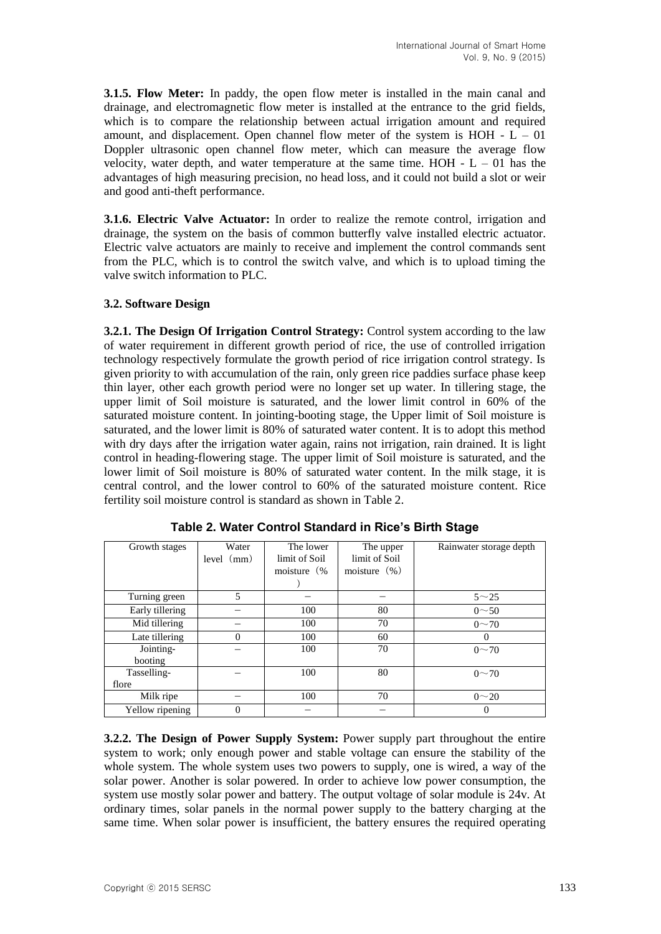**3.1.5. Flow Meter:** In paddy, the open flow meter is installed in the main canal and drainage, and electromagnetic flow meter is installed at the entrance to the grid fields, which is to compare the relationship between actual irrigation amount and required amount, and displacement. Open channel flow meter of the system is  $HOH - L - 01$ Doppler ultrasonic open channel flow meter, which can measure the average flow velocity, water depth, and water temperature at the same time. HOH  $- L - 01$  has the advantages of high measuring precision, no head loss, and it could not build a slot or weir and good anti-theft performance.

**3.1.6. Electric Valve Actuator:** In order to realize the remote control, irrigation and drainage, the system on the basis of common butterfly valve installed electric actuator. Electric valve actuators are mainly to receive and implement the control commands sent from the PLC, which is to control the switch valve, and which is to upload timing the valve switch information to PLC.

### **3.2. Software Design**

**3.2.1. The Design Of Irrigation Control Strategy:** Control system according to the law of water requirement in different growth period of rice, the use of controlled irrigation technology respectively formulate the growth period of rice irrigation control strategy. Is given priority to with accumulation of the rain, only green rice paddies surface phase keep thin layer, other each growth period were no longer set up water. In tillering stage, the upper limit of Soil moisture is saturated, and the lower limit control in 60% of the saturated moisture content. In jointing-booting stage, the Upper limit of Soil moisture is saturated, and the lower limit is 80% of saturated water content. It is to adopt this method with dry days after the irrigation water again, rains not irrigation, rain drained. It is light control in heading-flowering stage. The upper limit of Soil moisture is saturated, and the lower limit of Soil moisture is 80% of saturated water content. In the milk stage, it is central control, and the lower control to 60% of the saturated moisture content. Rice fertility soil moisture control is standard as shown in Table 2.

| Growth stages        | Water<br>level (mm) | The lower<br>limit of Soil<br>moisture (% | The upper<br>limit of Soil<br>moisture $(\% )$ | Rainwater storage depth |
|----------------------|---------------------|-------------------------------------------|------------------------------------------------|-------------------------|
| Turning green        | 5                   |                                           |                                                | $5 - 25$                |
| Early tillering      |                     | 100                                       | 80                                             | $0 - 50$                |
| Mid tillering        |                     | 100                                       | 70                                             | $0 - 70$                |
| Late tillering       | $\theta$            | 100                                       | 60                                             |                         |
| Jointing-<br>booting |                     | 100                                       | 70                                             | $0 \sim 70$             |
| Tasselling-          |                     | 100                                       | 80                                             | $0 \sim 70$             |
| flore                |                     |                                           |                                                |                         |
| Milk ripe            |                     | 100                                       | 70                                             | $0 - 20$                |
| Yellow ripening      |                     |                                           |                                                |                         |

**Table 2. Water Control Standard in Rice's Birth Stage**

**3.2.2. The Design of Power Supply System:** Power supply part throughout the entire system to work; only enough power and stable voltage can ensure the stability of the whole system. The whole system uses two powers to supply, one is wired, a way of the solar power. Another is solar powered. In order to achieve low power consumption, the system use mostly solar power and battery. The output voltage of solar module is 24v. At ordinary times, solar panels in the normal power supply to the battery charging at the same time. When solar power is insufficient, the battery ensures the required operating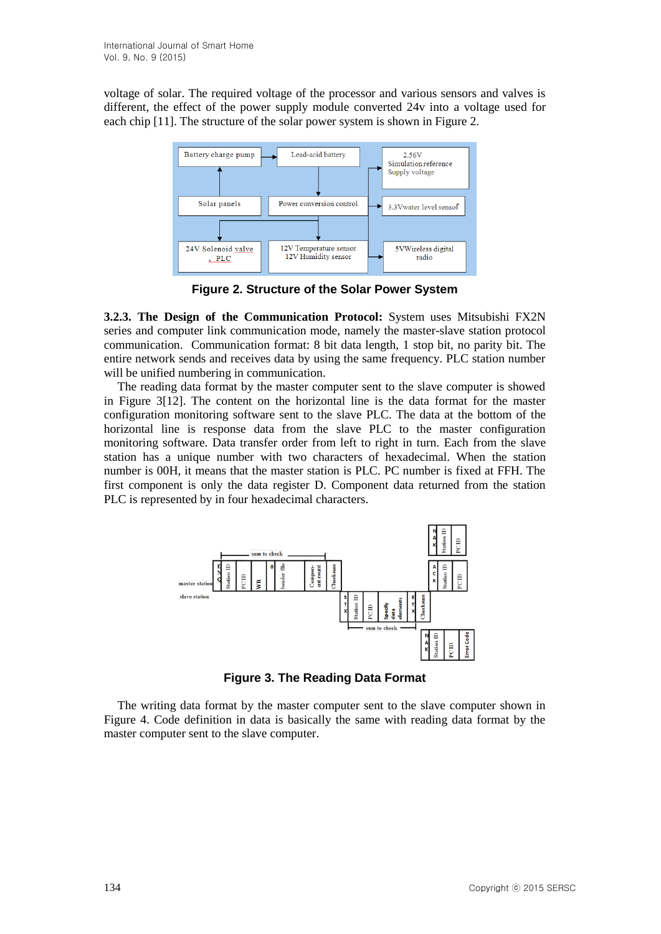voltage of solar. The required voltage of the processor and various sensors and valves is different, the effect of the power supply module converted 24v into a voltage used for each chip [11]. The structure of the solar power system is shown in Figure 2.



**Figure 2. Structure of the Solar Power System**

**3.2.3. The Design of the Communication Protocol:** System uses Mitsubishi FX2N series and computer link communication mode, namely the master-slave station protocol communication. Communication format: 8 bit data length, 1 stop bit, no parity bit. The entire network sends and receives data by using the same frequency. PLC station number will be unified numbering in communication.

The reading data format by the master computer sent to the slave computer is showed in Figure 3[12]. The content on the horizontal line is the data format for the master configuration monitoring software sent to the slave PLC. The data at the bottom of the horizontal line is response data from the slave PLC to the master configuration monitoring software. Data transfer order from left to right in turn. Each from the slave station has a unique number with two characters of hexadecimal. When the station number is 00H, it means that the master station is PLC. PC number is fixed at FFH. The first component is only the data register D. Component data returned from the station PLC is represented by in four hexadecimal characters.



**Figure 3. The Reading Data Format**

The writing data format by the master computer sent to the slave computer shown in Figure 4. Code definition in data is basically the same with reading data format by the master computer sent to the slave computer.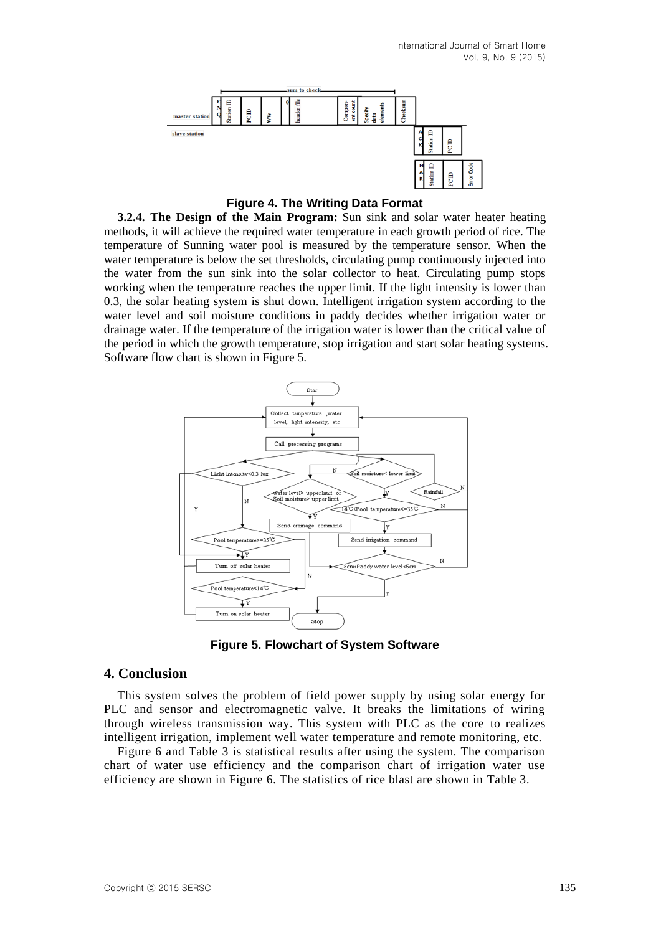

**Figure 4. The Writing Data Format**

**3.2.4. The Design of the Main Program:** Sun sink and solar water heater heating methods, it will achieve the required water temperature in each growth period of rice. The temperature of Sunning water pool is measured by the temperature sensor. When the water temperature is below the set thresholds, circulating pump continuously injected into the water from the sun sink into the solar collector to heat. Circulating pump stops working when the temperature reaches the upper limit. If the light intensity is lower than 0.3, the solar heating system is shut down. Intelligent irrigation system according to the water level and soil moisture conditions in paddy decides whether irrigation water or drainage water. If the temperature of the irrigation water is lower than the critical value of the period in which the growth temperature, stop irrigation and start solar heating systems. Software flow chart is shown in Figure 5.



**Figure 5. Flowchart of System Software**

## **4. Conclusion**

This system solves the problem of field power supply by using solar energy for PLC and sensor and electromagnetic valve. It breaks the limitations of wiring through wireless transmission way. This system with PLC as the core to realizes intelligent irrigation, implement well water temperature and remote monitoring, etc.

Figure 6 and Table 3 is statistical results after using the system. The comparison chart of water use efficiency and the comparison chart of irrigation water use efficiency are shown in Figure 6. The statistics of rice blast are shown in Table 3.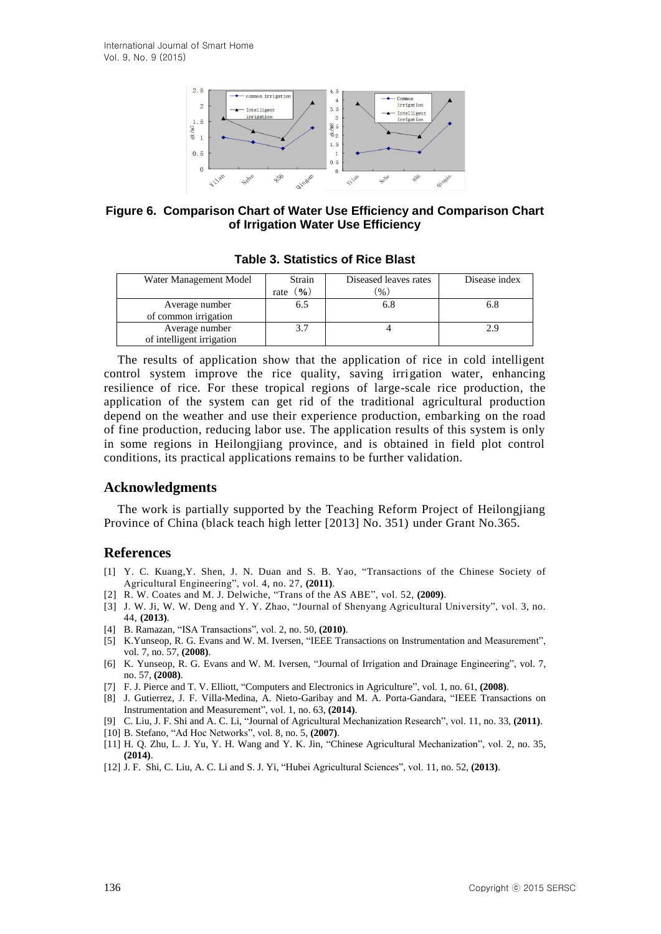

**Figure 6. Comparison Chart of Water Use Efficiency and Comparison Chart of Irrigation Water Use Efficiency**

| Water Management Model                 | Strain<br>$\mathbf{O}'_{\mathbf{0}}$<br>rate | Diseased leaves rates<br>$\frac{9}{6}$ | Disease index |
|----------------------------------------|----------------------------------------------|----------------------------------------|---------------|
| Average number<br>of common irrigation | 6.5                                          | 6.8                                    |               |
| Average number                         |                                              |                                        |               |
| of intelligent irrigation              |                                              |                                        |               |

**Table 3. Statistics of Rice Blast**

The results of application show that the application of rice in cold intelligent control system improve the rice quality, saving irrigation water, enhancing resilience of rice. For these tropical regions of large-scale rice production, the application of the system can get rid of the traditional agricultural production depend on the weather and use their experience production, embarking on the road of fine production, reducing labor use. The application results of this system is only in some regions in Heilongjiang province, and is obtained in field plot control conditions, its practical applications remains to be further validation.

#### **Acknowledgments**

The work is partially supported by the Teaching Reform Project of Heilongjiang Province of China (black teach high letter [2013] No. 351) under Grant No.365.

#### **References**

- [1] Y. C. Kuang,Y. Shen, J. N. Duan and S. B. Yao, "Transactions of the Chinese Society of Agricultural Engineering", vol. 4, no. 27, **(2011)**.
- [2] R. W. Coates and M. J. Delwiche, "Trans of the AS ABE", vol. 52, **(2009)**.
- [3] J. W. Ji, W. W. Deng and Y. Y. Zhao, "Journal of Shenyang Agricultural University", vol. 3, no. 44, **(2013)**.
- [4] B. Ramazan, "ISA Transactions", vol. 2, no. 50, **(2010)**.
- [5] [K.](http://ieeexplore.ieee.org/search/searchresult.jsp?searchWithin=p_Authors:.QT.Yunseop%20Kim.QT.&searchWithin=p_Author_Ids:38130186600&newsearch=true)Yunseop, R. [G.](http://ieeexplore.ieee.org/search/searchresult.jsp?searchWithin=p_Authors:.QT.Evans,%20R.G..QT.&searchWithin=p_Author_Ids:38123163100&newsearch=true) Evans an[d W.](http://ieeexplore.ieee.org/search/searchresult.jsp?searchWithin=p_Authors:.QT.Iversen,%20W.M..QT.&searchWithin=p_Author_Ids:38131128200&newsearch=true) M. Iversen, "IEEE Transactions on Instrumentation and Measurement", vol. 7, no. 57, **(2008)**.
- [6] [K.](http://ieeexplore.ieee.org/search/searchresult.jsp?searchWithin=p_Authors:.QT.Yunseop%20Kim.QT.&searchWithin=p_Author_Ids:38130186600&newsearch=true) Yunseop, [R.](http://ieeexplore.ieee.org/search/searchresult.jsp?searchWithin=p_Authors:.QT.Evans,%20R.G..QT.&searchWithin=p_Author_Ids:38123163100&newsearch=true) G. Evans and [W.](http://ieeexplore.ieee.org/search/searchresult.jsp?searchWithin=p_Authors:.QT.Iversen,%20W.M..QT.&searchWithin=p_Author_Ids:38131128200&newsearch=true) M. Iversen, "Journal of Irrigation and Drainage Engineering", vol. 7, no. 57, **(2008)**.
- [7] F. J. Pierce and T. V. Elliott, "Computers and Electronics in Agriculture", vol. 1, no. 61, **(2008)**.
- [8] J. Gutierrez, J. F. Villa-Medina, A. Nieto-Garibay and M. A. Porta-Gandara, "IEEE Transactions on Instrumentation and Measurement", vol. 1, no. 63, **(2014)**.
- [9] C. Liu, J. F. Shi and A. C. Li, "Journal of Agricultural Mechanization Research", vol. 11, no. 33, **(2011)**.
- [10] B. Stefano, "Ad Hoc Networks", vol. 8, no. 5, **(2007)**.
- [11] H. Q. Zhu, L. J. Yu, Y. H. Wang and Y. K. Jin, "Chinese Agricultural Mechanization", vol. 2, no. 35, **(2014)**.
- [12] J. F. Shi, C. Liu, A. C. Li and S. J. Yi, "Hubei Agricultural Sciences", vol. 11, no. 52, **(2013)**.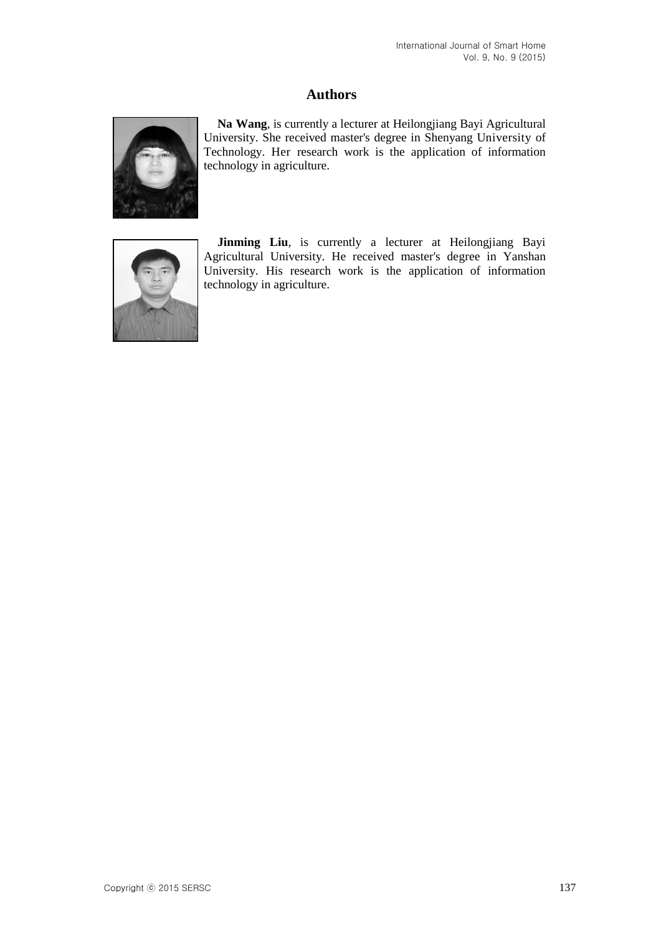# **Authors**



**Na Wang**, is currently a lecturer at Heilongjiang Bayi Agricultural University. She received master's degree in Shenyang University of Technology. Her research work is the application of information technology in agriculture.



**Jinming Liu**, is currently a lecturer at Heilongjiang Bayi Agricultural University. He received master's degree in Yanshan University. His research work is the application of information technology in agriculture.